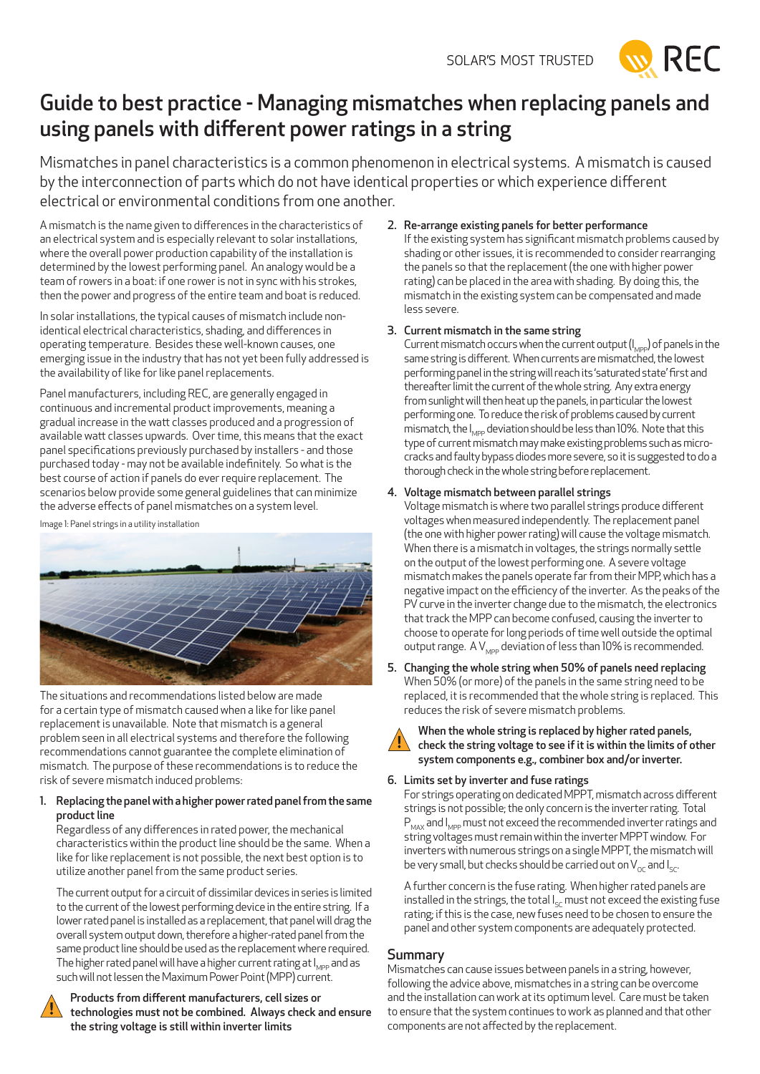

# Guide to best practice - Managing mismatches when replacing panels and using panels with different power ratings in a string

Mismatches in panel characteristics is a common phenomenon in electrical systems. A mismatch is caused by the interconnection of parts which do not have identical properties or which experience different electrical or environmental conditions from one another.

A mismatch is the name given to differences in the characteristics of an electrical system and is especially relevant to solar installations, where the overall power production capability of the installation is determined by the lowest performing panel. An analogy would be a team of rowers in a boat: if one rower is not in sync with his strokes, then the power and progress of the entire team and boat is reduced.

In solar installations, the typical causes of mismatch include nonidentical electrical characteristics, shading, and differences in operating temperature. Besides these well-known causes, one emerging issue in the industry that has not yet been fully addressed is the availability of like for like panel replacements.

Panel manufacturers, including REC, are generally engaged in continuous and incremental product improvements, meaning a gradual increase in the watt classes produced and a progression of available watt classes upwards. Over time, this means that the exact panel specifications previously purchased by installers - and those purchased today - may not be available indefinitely. So what is the best course of action if panels do ever require replacement. The scenarios below provide some general guidelines that can minimize the adverse effects of panel mismatches on a system level.

Image 1: Panel strings in a utility installation



The situations and recommendations listed below are made for a certain type of mismatch caused when a like for like panel replacement is unavailable. Note that mismatch is a general problem seen in all electrical systems and therefore the following recommendations cannot guarantee the complete elimination of mismatch. The purpose of these recommendations is to reduce the risk of severe mismatch induced problems:

#### 1. Replacing the panel with a higher power rated panel from the same product line

Regardless of any differences in rated power, the mechanical characteristics within the product line should be the same. When a like for like replacement is not possible, the next best option is to utilize another panel from the same product series.

The current output for a circuit of dissimilar devices in series is limited to the current of the lowest performing device in the entire string. If a lower rated panel is installed as a replacement, that panel will drag the overall system output down, therefore a higher-rated panel from the same product line should be used as the replacement where required. The higher rated panel will have a higher current rating at  $I_{MPP}$  and as such will not lessen the Maximum Power Point (MPP) current.



Products from different manufacturers, cell sizes or technologies must not be combined. Always check and ensure the string voltage is still within inverter limits

#### 2. Re-arrange existing panels for better performance If the existing system has significant mismatch problems caused by shading or other issues, it is recommended to consider rearranging the panels so that the replacement (the one with higher power rating) can be placed in the area with shading. By doing this, the mismatch in the existing system can be compensated and made less severe.

### 3. Current mismatch in the same string

Current mismatch occurs when the current output  $(I_{\text{MPP}})$  of panels in the same string is different. When currents are mismatched, the lowest performing panel in the string will reach its 'saturated state' first and thereafter limit the current of the whole string. Any extra energy from sunlight will then heat up the panels, in particular the lowest performing one. To reduce the risk of problems caused by current mismatch, the  $I_{\text{Mep}}$  deviation should be less than 10%. Note that this type of current mismatch may make existing problems such as microcracks and faulty bypass diodes more severe, so it is suggested to do a thorough check in the whole string before replacement.

## 4. Voltage mismatch between parallel strings

Voltage mismatch is where two parallel strings produce different voltages when measured independently. The replacement panel (the one with higher power rating) will cause the voltage mismatch. When there is a mismatch in voltages, the strings normally settle on the output of the lowest performing one. A severe voltage mismatch makes the panels operate far from their MPP, which has a negative impact on the efficiency of the inverter. As the peaks of the PV curve in the inverter change due to the mismatch, the electronics that track the MPP can become confused, causing the inverter to choose to operate for long periods of time well outside the optimal output range. A  $V_{MPP}$  deviation of less than 10% is recommended.

5. Changing the whole string when 50% of panels need replacing When 50% (or more) of the panels in the same string need to be replaced, it is recommended that the whole string is replaced. This reduces the risk of severe mismatch problems.



When the whole string is replaced by higher rated panels, check the string voltage to see if it is within the limits of other system components e.g., combiner box and/or inverter.

#### 6. Limits set by inverter and fuse ratings

For strings operating on dedicated MPPT, mismatch across different strings is not possible; the only concern is the inverter rating. Total  $P_{\text{max}}$  and  $I_{\text{MDD}}$  must not exceed the recommended inverter ratings and string voltages must remain within the inverter MPPT window. For inverters with numerous strings on a single MPPT, the mismatch will be very small, but checks should be carried out on  $V_{\alpha c}$  and  $I_{\alpha c}$ .

A further concern is the fuse rating. When higher rated panels are installed in the strings, the total  $I_{\rm sc}$  must not exceed the existing fuse rating; if this is the case, new fuses need to be chosen to ensure the panel and other system components are adequately protected.

## **Summary**

Mismatches can cause issues between panels in a string, however, following the advice above, mismatches in a string can be overcome and the installation can work at its optimum level. Care must be taken to ensure that the system continues to work as planned and that other components are not affected by the replacement.